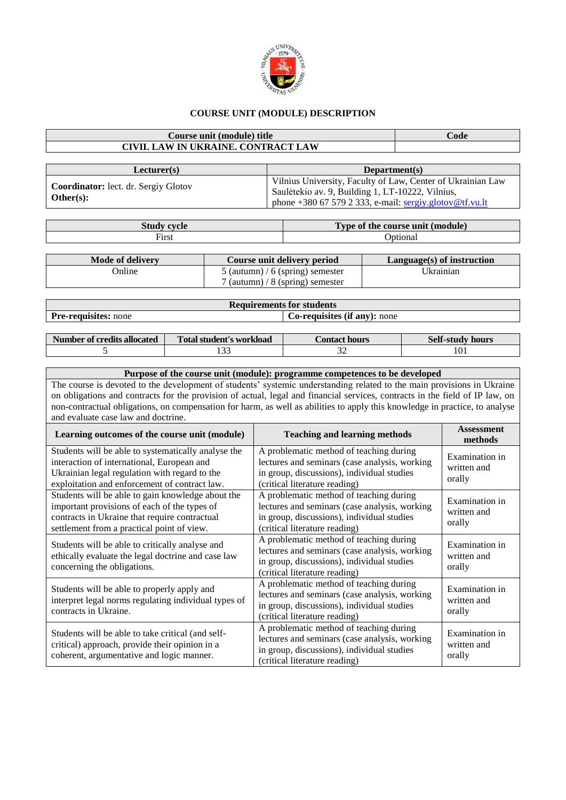

## **COURSE UNIT (MODULE) DESCRIPTION**

## **Course unit (module) title Code CIVIL LAW IN UKRAINE. CONTRACT LAW**

| Lecturer(s)                                              | Department(s)                                                                                                                                                              |
|----------------------------------------------------------|----------------------------------------------------------------------------------------------------------------------------------------------------------------------------|
| <b>Coordinator:</b> lect. dr. Sergiy Glotov<br>Other(s): | Vilnius University, Faculty of Law, Center of Ukrainian Law<br>Saulėtekio av. 9, Building 1, LT-10222, Vilnius,<br>phone +380 67 579 2 333, e-mail: sergiy.glotov@tf.vu.lt |

| $7$ tudu.<br>evelo<br>ouu | $\blacksquare$ Type of the course unit (module) |
|---------------------------|-------------------------------------------------|
| $F_{irst}$                | <b>J</b> otional                                |

| Mode of delivery | Course unit delivery period        | $L$ anguage $(s)$ of instruction |
|------------------|------------------------------------|----------------------------------|
| <b>Online</b>    | 5 (autumn) / 6 (spring) semester   | Ukrainian                        |
|                  | $7$ (autumn) / 8 (spring) semester |                                  |

| <b>Requirements for students</b> |                                     |  |  |  |
|----------------------------------|-------------------------------------|--|--|--|
| <b>Pre-requisites:</b> none      | <b>Co-requisites (if any):</b> none |  |  |  |
|                                  |                                     |  |  |  |

| Number of credits allocated | Total student's workload | <i>C</i> ontact hours | <b>Self-study hours</b> |
|-----------------------------|--------------------------|-----------------------|-------------------------|
|                             |                          | ◡                     |                         |

## **Purpose of the course unit (module): programme competences to be developed** The course is devoted to the development of students' systemic understanding related to the main provisions in Ukraine on obligations and contracts for the provision of actual, legal and financial services, contracts in the field of IP law, on non-contractual obligations, on compensation for harm, as well as abilities to apply this knowledge in practice, to analyse and evaluate case law and doctrine.

| Learning outcomes of the course unit (module)                                                                                                                                                       | <b>Teaching and learning methods</b>                                                                                                                                    | <b>Assessment</b><br>methods            |
|-----------------------------------------------------------------------------------------------------------------------------------------------------------------------------------------------------|-------------------------------------------------------------------------------------------------------------------------------------------------------------------------|-----------------------------------------|
| Students will be able to systematically analyse the<br>interaction of international, European and<br>Ukrainian legal regulation with regard to the<br>exploitation and enforcement of contract law. | A problematic method of teaching during<br>lectures and seminars (case analysis, working<br>in group, discussions), individual studies<br>(critical literature reading) | Examination in<br>written and<br>orally |
| Students will be able to gain knowledge about the<br>important provisions of each of the types of<br>contracts in Ukraine that require contractual<br>settlement from a practical point of view.    | A problematic method of teaching during<br>lectures and seminars (case analysis, working<br>in group, discussions), individual studies<br>(critical literature reading) | Examination in<br>written and<br>orally |
| Students will be able to critically analyse and<br>ethically evaluate the legal doctrine and case law<br>concerning the obligations.                                                                | A problematic method of teaching during<br>lectures and seminars (case analysis, working<br>in group, discussions), individual studies<br>(critical literature reading) | Examination in<br>written and<br>orally |
| Students will be able to properly apply and<br>interpret legal norms regulating individual types of<br>contracts in Ukraine.                                                                        | A problematic method of teaching during<br>lectures and seminars (case analysis, working<br>in group, discussions), individual studies<br>(critical literature reading) | Examination in<br>written and<br>orally |
| Students will be able to take critical (and self-<br>critical) approach, provide their opinion in a<br>coherent, argumentative and logic manner.                                                    | A problematic method of teaching during<br>lectures and seminars (case analysis, working<br>in group, discussions), individual studies<br>(critical literature reading) | Examination in<br>written and<br>orally |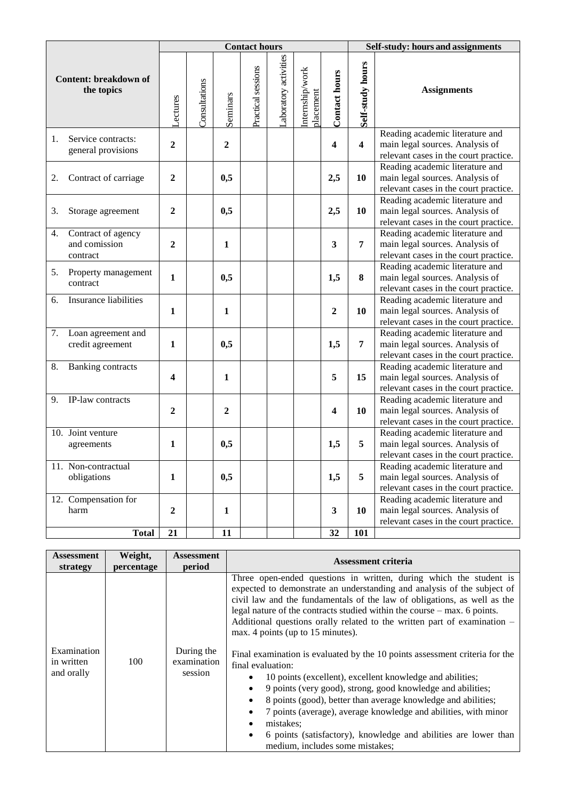|    |                                                 |                  |               |                  | <b>Contact hours</b> |                      |                              |                         | Self-study: hours and assignments |                                                                                                             |  |
|----|-------------------------------------------------|------------------|---------------|------------------|----------------------|----------------------|------------------------------|-------------------------|-----------------------------------|-------------------------------------------------------------------------------------------------------------|--|
|    | <b>Content: breakdown of</b><br>the topics      | <b>Lectures</b>  | Consultations | Seminars         | Practical sessions   | aboratory activities | Internship/work<br>placement | <b>Contact hours</b>    | Self-study hours                  | <b>Assignments</b>                                                                                          |  |
| 1. | Service contracts:<br>general provisions        | 2                |               | $\boldsymbol{2}$ |                      |                      |                              | $\overline{\mathbf{4}}$ | $\overline{\mathbf{4}}$           | Reading academic literature and<br>main legal sources. Analysis of<br>relevant cases in the court practice. |  |
| 2. | Contract of carriage                            | $\overline{2}$   |               | 0,5              |                      |                      |                              | 2,5                     | 10                                | Reading academic literature and<br>main legal sources. Analysis of<br>relevant cases in the court practice. |  |
| 3. | Storage agreement                               | $\mathbf{2}$     |               | 0,5              |                      |                      |                              | 2,5                     | 10                                | Reading academic literature and<br>main legal sources. Analysis of<br>relevant cases in the court practice. |  |
| 4. | Contract of agency<br>and comission<br>contract | $\mathbf{2}$     |               | $\mathbf{1}$     |                      |                      |                              | $\mathbf{3}$            | $\overline{7}$                    | Reading academic literature and<br>main legal sources. Analysis of<br>relevant cases in the court practice. |  |
| 5. | Property management<br>contract                 | $\mathbf{1}$     |               | 0,5              |                      |                      |                              | 1,5                     | 8                                 | Reading academic literature and<br>main legal sources. Analysis of<br>relevant cases in the court practice. |  |
| 6. | <b>Insurance liabilities</b>                    | 1                |               | $\mathbf{1}$     |                      |                      |                              | $\boldsymbol{2}$        | 10                                | Reading academic literature and<br>main legal sources. Analysis of<br>relevant cases in the court practice. |  |
| 7. | Loan agreement and<br>credit agreement          | 1                |               | 0,5              |                      |                      |                              | 1,5                     | 7                                 | Reading academic literature and<br>main legal sources. Analysis of<br>relevant cases in the court practice. |  |
| 8. | <b>Banking contracts</b>                        | 4                |               | 1                |                      |                      |                              | 5                       | 15                                | Reading academic literature and<br>main legal sources. Analysis of<br>relevant cases in the court practice. |  |
| 9. | IP-law contracts                                | $\mathbf{2}$     |               | $\overline{2}$   |                      |                      |                              | $\overline{\mathbf{4}}$ | 10                                | Reading academic literature and<br>main legal sources. Analysis of<br>relevant cases in the court practice. |  |
|    | 10. Joint venture<br>agreements                 | 1                |               | 0,5              |                      |                      |                              | 1,5                     | 5                                 | Reading academic literature and<br>main legal sources. Analysis of<br>relevant cases in the court practice. |  |
|    | 11. Non-contractual<br>obligations              | 1                |               | 0,5              |                      |                      |                              | 1,5                     | 5                                 | Reading academic literature and<br>main legal sources. Analysis of<br>relevant cases in the court practice. |  |
|    | 12. Compensation for<br>harm                    | $\boldsymbol{2}$ |               | $\mathbf{1}$     |                      |                      |                              | 3                       | 10                                | Reading academic literature and<br>main legal sources. Analysis of<br>relevant cases in the court practice. |  |
|    | <b>Total</b>                                    | 21               |               | 11               |                      |                      |                              | 32                      | <b>101</b>                        |                                                                                                             |  |

| <b>Assessment</b>                       | Weight,    | <b>Assessment</b>                    | Assessment criteria                                                                                                                                                                                                                                                                                                                                                                                                                                                                                                                                                                                                                                                                                                                                                                                                                                                                                                                                                                   |
|-----------------------------------------|------------|--------------------------------------|---------------------------------------------------------------------------------------------------------------------------------------------------------------------------------------------------------------------------------------------------------------------------------------------------------------------------------------------------------------------------------------------------------------------------------------------------------------------------------------------------------------------------------------------------------------------------------------------------------------------------------------------------------------------------------------------------------------------------------------------------------------------------------------------------------------------------------------------------------------------------------------------------------------------------------------------------------------------------------------|
| strategy                                | percentage | period                               |                                                                                                                                                                                                                                                                                                                                                                                                                                                                                                                                                                                                                                                                                                                                                                                                                                                                                                                                                                                       |
| Examination<br>in written<br>and orally | 100        | During the<br>examination<br>session | Three open-ended questions in written, during which the student is<br>expected to demonstrate an understanding and analysis of the subject of<br>civil law and the fundamentals of the law of obligations, as well as the<br>legal nature of the contracts studied within the course $-$ max. 6 points.<br>Additional questions orally related to the written part of examination –<br>max. 4 points (up to 15 minutes).<br>Final examination is evaluated by the 10 points assessment criteria for the<br>final evaluation:<br>10 points (excellent), excellent knowledge and abilities;<br>٠<br>9 points (very good), strong, good knowledge and abilities;<br>$\bullet$<br>8 points (good), better than average knowledge and abilities;<br>$\bullet$<br>7 points (average), average knowledge and abilities, with minor<br>$\bullet$<br>mistakes:<br>$\bullet$<br>6 points (satisfactory), knowledge and abilities are lower than<br>$\bullet$<br>medium, includes some mistakes; |